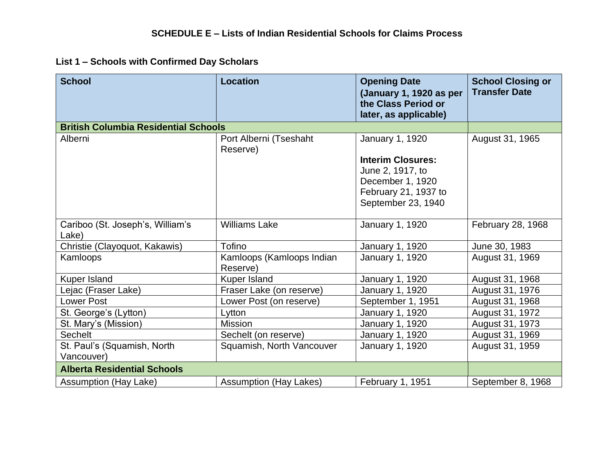## **List 1 – Schools with Confirmed Day Scholars**

| <b>School</b>                               | <b>Location</b>                       | <b>Opening Date</b><br>(January 1, 1920 as per<br>the Class Period or<br>later, as applicable) | <b>School Closing or</b><br><b>Transfer Date</b> |
|---------------------------------------------|---------------------------------------|------------------------------------------------------------------------------------------------|--------------------------------------------------|
| <b>British Columbia Residential Schools</b> |                                       |                                                                                                |                                                  |
| Alberni                                     | Port Alberni (Tseshaht<br>Reserve)    | January 1, 1920                                                                                | August 31, 1965                                  |
|                                             |                                       | <b>Interim Closures:</b>                                                                       |                                                  |
|                                             |                                       | June 2, 1917, to                                                                               |                                                  |
|                                             |                                       | December 1, 1920                                                                               |                                                  |
|                                             |                                       | February 21, 1937 to                                                                           |                                                  |
|                                             |                                       | September 23, 1940                                                                             |                                                  |
| Cariboo (St. Joseph's, William's<br>Lake)   | <b>Williams Lake</b>                  | <b>January 1, 1920</b>                                                                         | February 28, 1968                                |
| Christie (Clayoquot, Kakawis)               | Tofino                                | January 1, 1920                                                                                | June 30, 1983                                    |
| Kamloops                                    | Kamloops (Kamloops Indian<br>Reserve) | <b>January 1, 1920</b>                                                                         | August 31, 1969                                  |
| Kuper Island                                | Kuper Island                          | January 1, 1920                                                                                | August 31, 1968                                  |
| Lejac (Fraser Lake)                         | Fraser Lake (on reserve)              | January 1, 1920                                                                                | August 31, 1976                                  |
| <b>Lower Post</b>                           | Lower Post (on reserve)               | September 1, 1951                                                                              | August 31, 1968                                  |
| St. George's (Lytton)                       | Lytton                                | January 1, 1920                                                                                | August 31, 1972                                  |
| St. Mary's (Mission)                        | <b>Mission</b>                        | January 1, 1920                                                                                | August 31, 1973                                  |
| Sechelt                                     | Sechelt (on reserve)                  | January 1, 1920                                                                                | August 31, 1969                                  |
| St. Paul's (Squamish, North                 | Squamish, North Vancouver             | <b>January 1, 1920</b>                                                                         | August 31, 1959                                  |
| Vancouver)                                  |                                       |                                                                                                |                                                  |
| <b>Alberta Residential Schools</b>          |                                       |                                                                                                |                                                  |
| Assumption (Hay Lake)                       | <b>Assumption (Hay Lakes)</b>         | February 1, 1951                                                                               | September 8, 1968                                |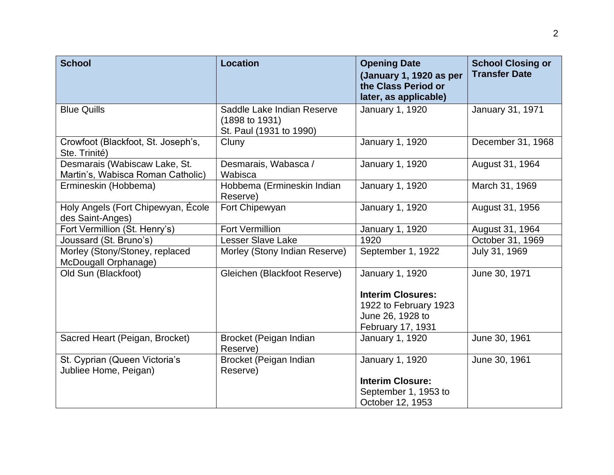| <b>School</b>                                                      | <b>Location</b>                                                         | <b>Opening Date</b><br>(January 1, 1920 as per<br>the Class Period or<br>later, as applicable) | <b>School Closing or</b><br><b>Transfer Date</b> |
|--------------------------------------------------------------------|-------------------------------------------------------------------------|------------------------------------------------------------------------------------------------|--------------------------------------------------|
| <b>Blue Quills</b>                                                 | Saddle Lake Indian Reserve<br>(1898 to 1931)<br>St. Paul (1931 to 1990) | January 1, 1920                                                                                | January 31, 1971                                 |
| Crowfoot (Blackfoot, St. Joseph's,<br>Ste. Trinité)                | Cluny                                                                   | January 1, 1920                                                                                | December 31, 1968                                |
| Desmarais (Wabiscaw Lake, St.<br>Martin's, Wabisca Roman Catholic) | Desmarais, Wabasca /<br>Wabisca                                         | January 1, 1920                                                                                | August 31, 1964                                  |
| Ermineskin (Hobbema)                                               | Hobbema (Ermineskin Indian<br>Reserve)                                  | January 1, 1920                                                                                | March 31, 1969                                   |
| Holy Angels (Fort Chipewyan, École<br>des Saint-Anges)             | Fort Chipewyan                                                          | January 1, 1920                                                                                | August 31, 1956                                  |
| Fort Vermillion (St. Henry's)                                      | <b>Fort Vermillion</b>                                                  | <b>January 1, 1920</b>                                                                         | August 31, 1964                                  |
| Joussard (St. Bruno's)                                             | <b>Lesser Slave Lake</b>                                                | 1920                                                                                           | October 31, 1969                                 |
| Morley (Stony/Stoney, replaced<br>McDougall Orphanage)             | Morley (Stony Indian Reserve)                                           | September 1, 1922                                                                              | July 31, 1969                                    |
| Old Sun (Blackfoot)                                                | Gleichen (Blackfoot Reserve)                                            | January 1, 1920                                                                                | June 30, 1971                                    |
|                                                                    |                                                                         | <b>Interim Closures:</b>                                                                       |                                                  |
|                                                                    |                                                                         | 1922 to February 1923                                                                          |                                                  |
|                                                                    |                                                                         | June 26, 1928 to                                                                               |                                                  |
|                                                                    |                                                                         | February 17, 1931                                                                              |                                                  |
| Sacred Heart (Peigan, Brocket)                                     | Brocket (Peigan Indian<br>Reserve)                                      | January 1, 1920                                                                                | June 30, 1961                                    |
| St. Cyprian (Queen Victoria's<br>Jubliee Home, Peigan)             | Brocket (Peigan Indian<br>Reserve)                                      | January 1, 1920                                                                                | June 30, 1961                                    |
|                                                                    |                                                                         | <b>Interim Closure:</b>                                                                        |                                                  |
|                                                                    |                                                                         | September 1, 1953 to                                                                           |                                                  |
|                                                                    |                                                                         | October 12, 1953                                                                               |                                                  |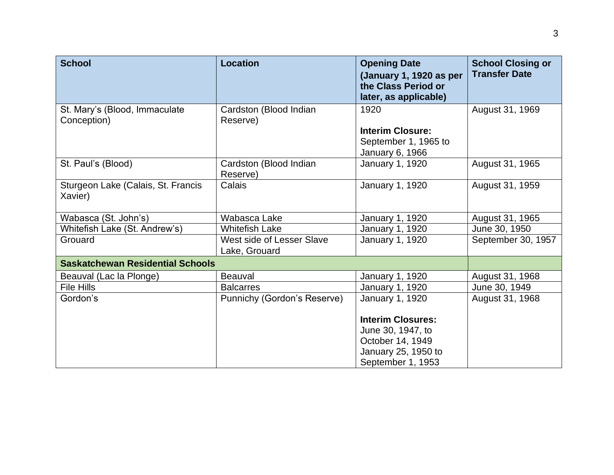| <b>School</b>                                 | <b>Location</b>                            | <b>Opening Date</b><br>(January 1, 1920 as per<br>the Class Period or<br>later, as applicable)                | <b>School Closing or</b><br><b>Transfer Date</b> |
|-----------------------------------------------|--------------------------------------------|---------------------------------------------------------------------------------------------------------------|--------------------------------------------------|
| St. Mary's (Blood, Immaculate                 | Cardston (Blood Indian                     | 1920                                                                                                          | August 31, 1969                                  |
| Conception)                                   | Reserve)                                   | <b>Interim Closure:</b>                                                                                       |                                                  |
|                                               |                                            | September 1, 1965 to                                                                                          |                                                  |
|                                               |                                            | January 6, 1966                                                                                               |                                                  |
| St. Paul's (Blood)                            | Cardston (Blood Indian<br>Reserve)         | January 1, 1920                                                                                               | August 31, 1965                                  |
| Sturgeon Lake (Calais, St. Francis<br>Xavier) | Calais                                     | January 1, 1920                                                                                               | August 31, 1959                                  |
| Wabasca (St. John's)                          | Wabasca Lake                               | January 1, 1920                                                                                               | August 31, 1965                                  |
| Whitefish Lake (St. Andrew's)                 | <b>Whitefish Lake</b>                      | January 1, 1920                                                                                               | June 30, 1950                                    |
| Grouard                                       | West side of Lesser Slave<br>Lake, Grouard | January 1, 1920                                                                                               | September 30, 1957                               |
| <b>Saskatchewan Residential Schools</b>       |                                            |                                                                                                               |                                                  |
| Beauval (Lac la Plonge)                       | <b>Beauval</b>                             | January 1, 1920                                                                                               | August 31, 1968                                  |
| File Hills                                    | <b>Balcarres</b>                           | January 1, 1920                                                                                               | June 30, 1949                                    |
| Gordon's                                      | Punnichy (Gordon's Reserve)                | January 1, 1920                                                                                               | August 31, 1968                                  |
|                                               |                                            | <b>Interim Closures:</b><br>June 30, 1947, to<br>October 14, 1949<br>January 25, 1950 to<br>September 1, 1953 |                                                  |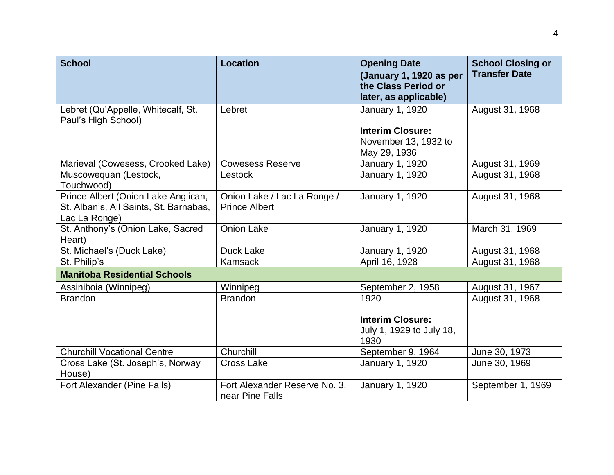| <b>School</b>                                                                                  | <b>Location</b>                                     | <b>Opening Date</b><br>(January 1, 1920 as per<br>the Class Period or<br>later, as applicable) | <b>School Closing or</b><br><b>Transfer Date</b> |
|------------------------------------------------------------------------------------------------|-----------------------------------------------------|------------------------------------------------------------------------------------------------|--------------------------------------------------|
| Lebret (Qu'Appelle, Whitecalf, St.<br>Paul's High School)                                      | Lebret                                              | January 1, 1920<br><b>Interim Closure:</b><br>November 13, 1932 to                             | August 31, 1968                                  |
|                                                                                                |                                                     | May 29, 1936                                                                                   |                                                  |
| Marieval (Cowesess, Crooked Lake)                                                              | <b>Cowesess Reserve</b>                             | January 1, 1920                                                                                | August 31, 1969                                  |
| Muscowequan (Lestock,<br>Touchwood)                                                            | <b>Lestock</b>                                      | January 1, 1920                                                                                | August 31, 1968                                  |
| Prince Albert (Onion Lake Anglican,<br>St. Alban's, All Saints, St. Barnabas,<br>Lac La Ronge) | Onion Lake / Lac La Ronge /<br><b>Prince Albert</b> | January 1, 1920                                                                                | August 31, 1968                                  |
| St. Anthony's (Onion Lake, Sacred<br>Heart)                                                    | <b>Onion Lake</b>                                   | January 1, 1920                                                                                | March 31, 1969                                   |
| St. Michael's (Duck Lake)                                                                      | Duck Lake                                           | January 1, 1920                                                                                | August 31, 1968                                  |
| St. Philip's                                                                                   | Kamsack                                             | April 16, 1928                                                                                 | August 31, 1968                                  |
| <b>Manitoba Residential Schools</b>                                                            |                                                     |                                                                                                |                                                  |
| Assiniboia (Winnipeg)                                                                          | Winnipeg                                            | September 2, 1958                                                                              | August 31, 1967                                  |
| <b>Brandon</b>                                                                                 | <b>Brandon</b>                                      | 1920<br><b>Interim Closure:</b>                                                                | August 31, 1968                                  |
|                                                                                                |                                                     | July 1, 1929 to July 18,<br>1930                                                               |                                                  |
| <b>Churchill Vocational Centre</b>                                                             | Churchill                                           | September 9, 1964                                                                              | June 30, 1973                                    |
| Cross Lake (St. Joseph's, Norway<br>House)                                                     | <b>Cross Lake</b>                                   | January 1, 1920                                                                                | June 30, 1969                                    |
| Fort Alexander (Pine Falls)                                                                    | Fort Alexander Reserve No. 3,<br>near Pine Falls    | January 1, 1920                                                                                | September 1, 1969                                |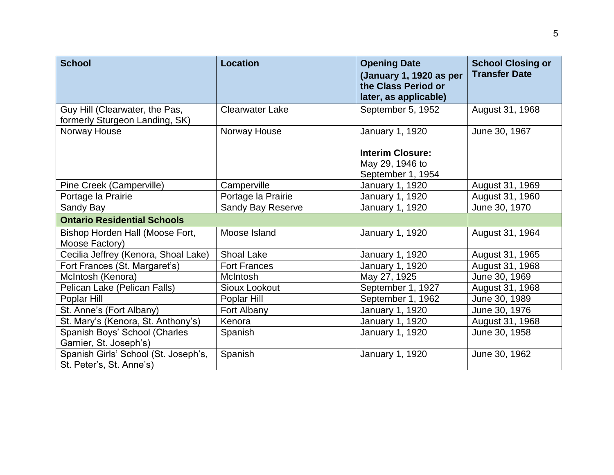| <b>School</b>                                                    | <b>Location</b>          | <b>Opening Date</b><br>(January 1, 1920 as per<br>the Class Period or<br>later, as applicable) | <b>School Closing or</b><br><b>Transfer Date</b> |
|------------------------------------------------------------------|--------------------------|------------------------------------------------------------------------------------------------|--------------------------------------------------|
| Guy Hill (Clearwater, the Pas,<br>formerly Sturgeon Landing, SK) | <b>Clearwater Lake</b>   | September 5, 1952                                                                              | August 31, 1968                                  |
| Norway House                                                     | Norway House             | January 1, 1920                                                                                | June 30, 1967                                    |
|                                                                  |                          | <b>Interim Closure:</b><br>May 29, 1946 to<br>September 1, 1954                                |                                                  |
| Pine Creek (Camperville)                                         | Camperville              | January 1, 1920                                                                                | August 31, 1969                                  |
| Portage la Prairie                                               | Portage la Prairie       | January 1, 1920                                                                                | August 31, 1960                                  |
| Sandy Bay                                                        | <b>Sandy Bay Reserve</b> | January 1, 1920                                                                                | June 30, 1970                                    |
| <b>Ontario Residential Schools</b>                               |                          |                                                                                                |                                                  |
| Bishop Horden Hall (Moose Fort,<br>Moose Factory)                | Moose Island             | <b>January 1, 1920</b>                                                                         | August 31, 1964                                  |
| Cecilia Jeffrey (Kenora, Shoal Lake)                             | Shoal Lake               | January 1, 1920                                                                                | August 31, 1965                                  |
| Fort Frances (St. Margaret's)                                    | <b>Fort Frances</b>      | January 1, 1920                                                                                | August 31, 1968                                  |
| McIntosh (Kenora)                                                | <b>McIntosh</b>          | May 27, 1925                                                                                   | June 30, 1969                                    |
| Pelican Lake (Pelican Falls)                                     | Sioux Lookout            | September 1, 1927                                                                              | August 31, 1968                                  |
| Poplar Hill                                                      | Poplar Hill              | September 1, 1962                                                                              | June 30, 1989                                    |
| St. Anne's (Fort Albany)                                         | Fort Albany              | January 1, 1920                                                                                | June 30, 1976                                    |
| St. Mary's (Kenora, St. Anthony's)                               | Kenora                   | January 1, 1920                                                                                | August 31, 1968                                  |
| Spanish Boys' School (Charles<br>Garnier, St. Joseph's)          | Spanish                  | January 1, 1920                                                                                | June 30, 1958                                    |
| Spanish Girls' School (St. Joseph's,<br>St. Peter's, St. Anne's) | Spanish                  | January 1, 1920                                                                                | June 30, 1962                                    |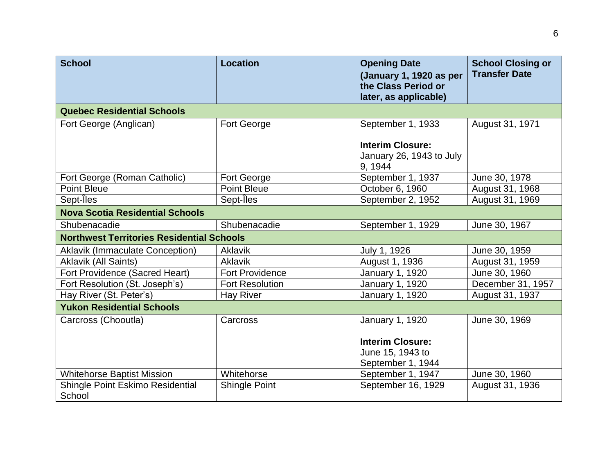| <b>School</b>                                    | <b>Location</b>        | <b>Opening Date</b><br>(January 1, 1920 as per<br>the Class Period or<br>later, as applicable) | <b>School Closing or</b><br><b>Transfer Date</b> |
|--------------------------------------------------|------------------------|------------------------------------------------------------------------------------------------|--------------------------------------------------|
| <b>Quebec Residential Schools</b>                |                        |                                                                                                |                                                  |
| Fort George (Anglican)                           | Fort George            | September 1, 1933<br><b>Interim Closure:</b><br>January 26, 1943 to July<br>9, 1944            | August 31, 1971                                  |
| Fort George (Roman Catholic)                     | Fort George            | September 1, 1937                                                                              | June 30, 1978                                    |
| <b>Point Bleue</b>                               | <b>Point Bleue</b>     | October 6, 1960                                                                                | August 31, 1968                                  |
| Sept-Iles                                        | Sept-Iles              | September 2, 1952                                                                              | August 31, 1969                                  |
| <b>Nova Scotia Residential Schools</b>           |                        |                                                                                                |                                                  |
| Shubenacadie                                     | Shubenacadie           | September 1, 1929                                                                              | June 30, 1967                                    |
| <b>Northwest Territories Residential Schools</b> |                        |                                                                                                |                                                  |
| <b>Aklavik (Immaculate Conception)</b>           | <b>Aklavik</b>         | July 1, 1926                                                                                   | June 30, 1959                                    |
| <b>Aklavik (All Saints)</b>                      | <b>Aklavik</b>         | August 1, 1936                                                                                 | August 31, 1959                                  |
| Fort Providence (Sacred Heart)                   | <b>Fort Providence</b> | January 1, 1920                                                                                | June 30, 1960                                    |
| Fort Resolution (St. Joseph's)                   | <b>Fort Resolution</b> | January 1, 1920                                                                                | December 31, 1957                                |
| Hay River (St. Peter's)                          | <b>Hay River</b>       | January 1, 1920                                                                                | August 31, 1937                                  |
| <b>Yukon Residential Schools</b>                 |                        |                                                                                                |                                                  |
| Carcross (Chooutla)                              | Carcross               | January 1, 1920<br><b>Interim Closure:</b><br>June 15, 1943 to<br>September 1, 1944            | June 30, 1969                                    |
| <b>Whitehorse Baptist Mission</b>                | Whitehorse             | September 1, 1947                                                                              | June 30, 1960                                    |
| Shingle Point Eskimo Residential<br>School       | <b>Shingle Point</b>   | September 16, 1929                                                                             | August 31, 1936                                  |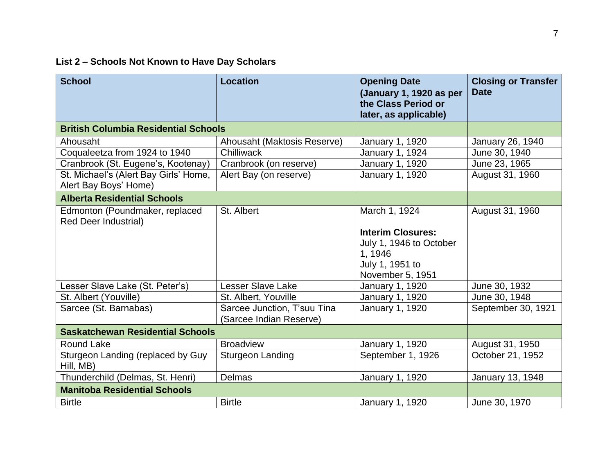## **List 2 – Schools Not Known to Have Day Scholars**

| <b>School</b>                                                  | <b>Location</b>                                        | <b>Opening Date</b><br>(January 1, 1920 as per<br>the Class Period or<br>later, as applicable)        | <b>Closing or Transfer</b><br><b>Date</b> |
|----------------------------------------------------------------|--------------------------------------------------------|-------------------------------------------------------------------------------------------------------|-------------------------------------------|
| <b>British Columbia Residential Schools</b>                    |                                                        |                                                                                                       |                                           |
| Ahousaht                                                       | Ahousaht (Maktosis Reserve)                            | January 1, 1920                                                                                       | January 26, 1940                          |
| Coqualeetza from 1924 to 1940                                  | Chilliwack                                             | January 1, 1924                                                                                       | June 30, 1940                             |
| Cranbrook (St. Eugene's, Kootenay)                             | Cranbrook (on reserve)                                 | <b>January 1, 1920</b>                                                                                | June 23, 1965                             |
| St. Michael's (Alert Bay Girls' Home,<br>Alert Bay Boys' Home) | Alert Bay (on reserve)                                 | January 1, 1920                                                                                       | August 31, 1960                           |
| <b>Alberta Residential Schools</b>                             |                                                        |                                                                                                       |                                           |
| Edmonton (Poundmaker, replaced<br><b>Red Deer Industrial)</b>  | St. Albert                                             | March 1, 1924                                                                                         | August 31, 1960                           |
|                                                                |                                                        | <b>Interim Closures:</b><br>July 1, 1946 to October<br>1, 1946<br>July 1, 1951 to<br>November 5, 1951 |                                           |
| Lesser Slave Lake (St. Peter's)                                | <b>Lesser Slave Lake</b>                               | January 1, 1920                                                                                       | June 30, 1932                             |
| St. Albert (Youville)                                          | St. Albert, Youville                                   | <b>January 1, 1920</b>                                                                                | June 30, 1948                             |
| Sarcee (St. Barnabas)                                          | Sarcee Junction, T'suu Tina<br>(Sarcee Indian Reserve) | January 1, 1920                                                                                       | September 30, 1921                        |
| <b>Saskatchewan Residential Schools</b>                        |                                                        |                                                                                                       |                                           |
| <b>Round Lake</b>                                              | <b>Broadview</b>                                       | January 1, 1920                                                                                       | August 31, 1950                           |
| Sturgeon Landing (replaced by Guy<br>Hill, MB)                 | <b>Sturgeon Landing</b>                                | September 1, 1926                                                                                     | October 21, 1952                          |
| Thunderchild (Delmas, St. Henri)                               | <b>Delmas</b>                                          | January 1, 1920                                                                                       | January 13, 1948                          |
| <b>Manitoba Residential Schools</b>                            |                                                        |                                                                                                       |                                           |
| <b>Birtle</b>                                                  | <b>Birtle</b>                                          | <b>January 1, 1920</b>                                                                                | June 30, 1970                             |